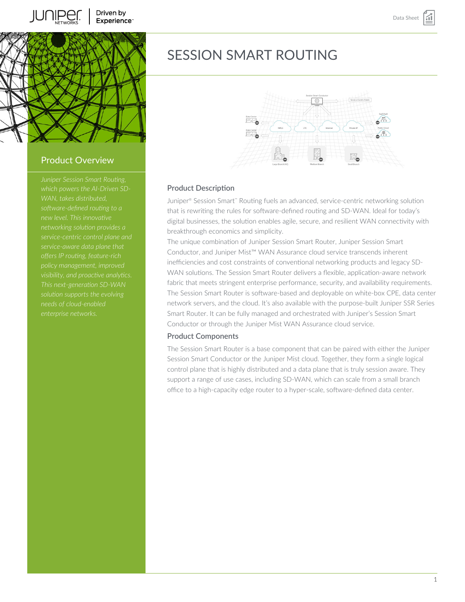



## Product Overview

*Juniper Session Smart Routing, WAN, takes distributed, networking solution provides a service-centric control plane and service-aware data plane that visibility, and proactive analytics. solution supports the evolving*

# SESSION SMART ROUTING



#### Product Description

Juniper® Session Smart™ Routing fuels an advanced, service-centric networking solution that is rewriting the rules for software-defined routing and SD-WAN. Ideal for today's digital businesses, the solution enables agile, secure, and resilient WAN connectivity with breakthrough economics and simplicity.

The unique combination of Juniper Session Smart Router, Juniper Session Smart Conductor, and Juniper Mist™ WAN Assurance cloud service transcends inherent inefficiencies and cost constraints of conventional networking products and legacy SD-WAN solutions. The Session Smart Router delivers a flexible, application-aware network fabric that meets stringent enterprise performance, security, and availability requirements. The Session Smart Router is software-based and deployable on white-box CPE, data center network servers, and the cloud. It's also available with the purpose-built Juniper SSR Series Smart Router. It can be fully managed and orchestrated with Juniper's Session Smart Conductor or through the Juniper Mist WAN Assurance cloud service.

#### Product Components

The Session Smart Router is a base component that can be paired with either the Juniper Session Smart Conductor or the Juniper Mist cloud. Together, they form a single logical control plane that is highly distributed and a data plane that is truly session aware. They support a range of use cases, including SD-WAN, which can scale from a small branch office to a high-capacity edge router to a hyper-scale, software-defined data center.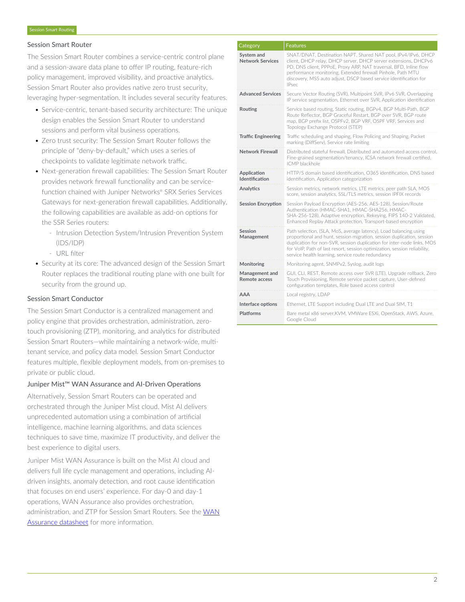#### Session Smart Router

The Session Smart Router combines a service-centric control plane and a session-aware data plane to offer IP routing, feature-rich policy management, improved visibility, and proactive analytics. Session Smart Router also provides native zero trust security, leveraging hyper-segmentation. It includes several security features.

- Service-centric, tenant-based security architecture: The unique design enables the Session Smart Router to understand sessions and perform vital business operations.
- Zero trust security: The Session Smart Router follows the principle of "deny-by-default," which uses a series of checkpoints to validate legitimate network traffic.
- Next-generation firewall capabilities: The Session Smart Router provides network firewall functionality and can be servicefunction chained with Juniper Networks® SRX Series Services Gateways for next-generation firewall capabilities. Additionally, the following capabilities are available as add-on options for the SSR Series routers:
	- Intrusion Detection System/Intrusion Prevention System (IDS/IDP)
	- URL filter
- Security at its core: The advanced design of the Session Smart Router replaces the traditional routing plane with one built for security from the ground up.

#### Session Smart Conductor

The Session Smart Conductor is a centralized management and policy engine that provides orchestration, administration, zerotouch provisioning (ZTP), monitoring, and analytics for distributed Session Smart Routers—while maintaining a network-wide, multitenant service, and policy data model. Session Smart Conductor features multiple, flexible deployment models, from on-premises to private or public cloud.

#### Juniper Mist™ WAN Assurance and AI-Driven Operations

Alternatively, Session Smart Routers can be operated and orchestrated through the Juniper Mist cloud. Mist AI delivers unprecedented automation using a combination of artificial intelligence, machine learning algorithms, and data sciences techniques to save time, maximize IT productivity, and deliver the best experience to digital users.

Juniper Mist WAN Assurance is built on the Mist AI cloud and delivers full life cycle management and operations, including AIdriven insights, anomaly detection, and root cause identification that focuses on end users' experience. For day-0 and day-1 operations, WAN Assurance also provides orchestration, administration, and ZTP for Session Smart Routers. See the [WAN](https://www.juniper.net/content/dam/www/assets/datasheets/us/en/cloud-services/mist-wan-assurance-overview.pdf) [Assurance datasheet](https://www.juniper.net/content/dam/www/assets/datasheets/us/en/cloud-services/mist-wan-assurance-overview.pdf) for more information.

| Category                              | <b>Features</b>                                                                                                                                                                                                                                                                                                                                           |
|---------------------------------------|-----------------------------------------------------------------------------------------------------------------------------------------------------------------------------------------------------------------------------------------------------------------------------------------------------------------------------------------------------------|
| System and<br><b>Network Services</b> | SNAT/DNAT, Destination NAPT, Shared NAT pool, IPv4/IPv6, DHCP<br>client, DHCP relay, DHCP server, DHCP server extensions, DHCPv6<br>PD, DNS client, PPPoE, Proxy ARP, NAT traversal, BFD, Inline flow<br>performance monitoring, Extended firewall Pinhole, Path MTU<br>discovery, MSS auto adjust, DSCP based service identification for<br><b>IPsec</b> |
| <b>Advanced Services</b>              | Secure Vector Routing (SVR), Multipoint SVR, IPv6 SVR, Overlapping<br>IP service segmentation, Ethernet over SVR, Application identification                                                                                                                                                                                                              |
| Routing                               | Service based routing, Static routing, BGPv4, BGP Multi-Path, BGP<br>Route Reflector, BGP Graceful Restart, BGP over SVR, BGP route<br>map, BGP prefix list, OSPFv2, BGP VRF, OSPF VRF, Services and<br>Topology Exchange Protocol (STEP)                                                                                                                 |
| <b>Traffic Engineering</b>            | Traffic scheduling and shaping, Flow Policing and Shaping, Packet<br>marking (DiffServ). Service rate limiting                                                                                                                                                                                                                                            |
| <b>Network Firewall</b>               | Distributed stateful firewall. Distributed and automated access control.<br>Fine-grained segmentation/tenancy, ICSA network firewall certified,<br>ICMP blackhole                                                                                                                                                                                         |
| Application<br>Identification         | HTTP/S domain based identification, O365 identification, DNS based<br>identification, Application categorization                                                                                                                                                                                                                                          |
| Analytics                             | Session metrics, network metrics, LTE metrics, peer path SLA, MOS<br>score, session analytics, SSL/TLS metrics, session IPFIX records                                                                                                                                                                                                                     |
| <b>Session Encryption</b>             | Session Payload Encryption (AES-256, AES-128), Session/Route<br>Authentication (HMAC-SHA1, HMAC-SHA256, HMAC-<br>SHA-256-128), Adaptive encryption, Rekeying, FIPS 140-2 Validated,<br>Enhanced Replay Attack protection, Transport-based encryption                                                                                                      |
| Session<br>Management                 | Path selection, (SLA, MoS, average latency), Load balancing using<br>proportional and hunt, session migration, session duplication, session<br>duplication for non-SVR, session duplication for inter-node links, MOS<br>for VoIP, Path of last resort, session optimization, session reliability,<br>service health learning, service route redundancy   |
| Monitoring                            | Monitoring agent, SNMPv2, Syslog, audit logs                                                                                                                                                                                                                                                                                                              |
| Management and<br>Remote access       | GUI, CLI, REST, Remote access over SVR (LTE), Upgrade rollback, Zero<br>Touch Provisioning, Remote service packet capture, User-defined<br>configuration templates, Role based access control                                                                                                                                                             |
| <b>AAA</b>                            | Local registry, LDAP                                                                                                                                                                                                                                                                                                                                      |
| Interface options                     | Ethernet, LTE Support including Dual LTE and Dual SIM, T1                                                                                                                                                                                                                                                                                                 |
| <b>Platforms</b>                      | Bare metal x86 server, KVM, VMWare ESXi, OpenStack, AWS, Azure,<br>Google Cloud                                                                                                                                                                                                                                                                           |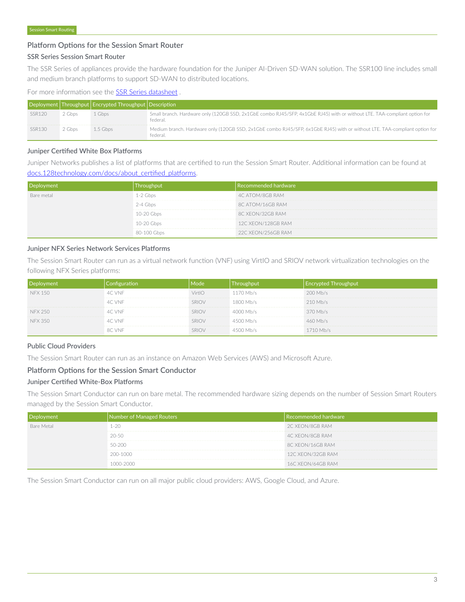#### Platform Options for the Session Smart Router

### SSR Series Session Smart Router

The SSR Series of appliances provide the hardware foundation for the Juniper AI-Driven SD-WAN solution. The SSR100 line includes small and medium branch platforms to support SD-WAN to distributed locations.

For more information see the **SSR Series datasheet**.

|        |        | $\Box$ Deployment   Throughput   Encrypted Throughput   Description |                                                                                                                                        |
|--------|--------|---------------------------------------------------------------------|----------------------------------------------------------------------------------------------------------------------------------------|
| SSR120 | 2 Gbps | 1 Gbps                                                              | Small branch. Hardware only (120GB SSD, 2x1GbE combo RJ45/SFP, 4x1GbE RJ45) with or without LTE. TAA-compliant option for<br>federal.  |
| SSR130 | 2 Gbps | $1.5$ Gbps                                                          | Medium branch. Hardware only (120GB SSD, 2x1GbE combo RJ45/SFP, 6x1GbE RJ45) with or without LTE. TAA-compliant option for<br>federal. |

#### Juniper Certified White Box Platforms

Juniper Networks publishes a list of platforms that are certified to run the Session Smart Router. Additional information can be found at [docs.128technology.com/docs/about\\_certified\\_platforms](https://docs.128technology.com/docs/about_certified_platforms/).

|            |             | Recommended hardware |
|------------|-------------|----------------------|
| Bare metal | 1-2 Gbps    | 4C ATOM/8GB RAM      |
|            | 2-4 Gbps    | 8C ATOM/16GB RAM     |
|            | 10-20 Ghns  | 8C XEON/32GB RAM     |
|            | 10-20 Ghns  | 12C XFON/128GB RAM   |
|            | 80-100 Gbps | 22C XFON/256GB RAM   |

#### Juniper NFX Series Network Services Platforms

The Session Smart Router can run as a virtual network function (VNF) using VirtIO and SRIOV network virtualization technologies on the following NFX Series platforms:

|                |        |             |             | Encrypted Throughput |
|----------------|--------|-------------|-------------|----------------------|
| <b>NFX 150</b> | 4C VNF | VirtIO      | 1170 Mb/s   | $200$ Mb/s           |
|                | 4C VNF | RIOV        | $1800$ Mb/s | $210$ Mb/s           |
| <b>NFX 250</b> | 4C VNF | <b>RIOV</b> | 4000 Mb/s   | 370 Mb/s             |
| NFX 350        | 4C VNF | RIOV        | 4500 Mb/s   | 460 Mb/s             |
|                | 8C VNF |             | +500 Mb/s   | 710 Mb/s             |

#### Public Cloud Providers

The Session Smart Router can run as an instance on Amazon Web Services (AWS) and Microsoft Azure.

#### Platform Options for the Session Smart Conductor

#### Juniper Certified White-Box Platforms

The Session Smart Conductor can run on bare metal. The recommended hardware sizing depends on the number of Session Smart Routers managed by the Session Smart Conductor.

|            | Number of Managed Routers | Recommended hardware |
|------------|---------------------------|----------------------|
| Bare Metal | $1 - 20$                  | 2C XFON/8GB RAM      |
|            | $20 - 50$                 | 4C XEON/8GB RAM      |
|            | 50-200                    | 8C XEON/16GB RAM     |
|            | 200-1000                  | 12C XFON/32GB RAM    |
|            | <u>MN-2000 - </u>         | 16C XFON/64GB RAM    |

The Session Smart Conductor can run on all major public cloud providers: AWS, Google Cloud, and Azure.